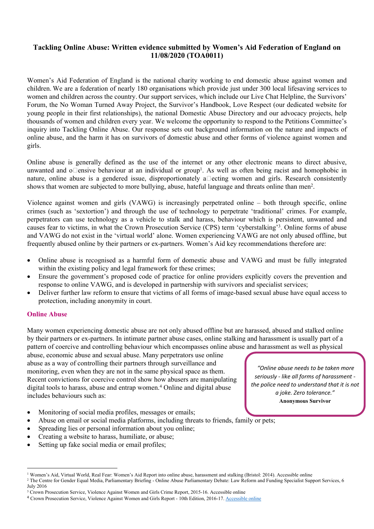## **Tackling Online Abuse: Written evidence submitted by Women's Aid Federation of England on 11/08/2020 (TOA0011)**

Women's Aid Federation of England is the national charity working to end domestic abuse against women and children. We are a federation of nearly 180 organisations which provide just under 300 local lifesaving services to women and children across the country. Our support services, which include our Live Chat Helpline, the Survivors' Forum, the No Woman Turned Away Project, the Survivor's Handbook, Love Respect (our dedicated website for young people in their first relationships), the national Domestic Abuse Directory and our advocacy projects, help thousands of women and children every year. We welcome the opportunity to respond to the Petitions Committee's inquiry into Tackling Online Abuse. Our response sets out background information on the nature and impacts of online abuse, and the harm it has on survivors of domestic abuse and other forms of violence against women and girls.

Online abuse is generally defined as the use of the internet or any other electronic means to direct abusive, unwanted and o $\square$ ensive behaviour at an individual or group<sup>1</sup>. As well as often being racist and homophobic in nature, online abuse is a gendered issue, disproportionately a $\Box$ ecting women and girls. Research consistently shows that women are subjected to more bullying, abuse, hateful language and threats online than men<sup>2</sup>.

Violence against women and girls (VAWG) is increasingly perpetrated online – both through specific, online crimes (such as 'sextortion') and through the use of technology to perpetrate 'traditional' crimes. For example, perpetrators can use technology as a vehicle to stalk and harass, behaviour which is persistent, unwanted and causes fear to victims, in what the Crown Prosecution Service (CPS) term 'cyberstalking'<sup>3</sup> . Online forms of abuse and VAWG do not exist in the 'virtual world' alone. Women experiencing VAWG are not only abused offline, but frequently abused online by their partners or ex-partners. Women's Aid key recommendations therefore are:

- Online abuse is recognised as a harmful form of domestic abuse and VAWG and must be fully integrated within the existing policy and legal framework for these crimes:
- Ensure the government's proposed code of practice for online providers explicitly covers the prevention and response to online VAWG, and is developed in partnership with survivors and specialist services;
- Deliver further law reform to ensure that victims of all forms of image-based sexual abuse have equal access to protection, including anonymity in court.

## **Online Abuse**

Many women experiencing domestic abuse are not only abused offline but are harassed, abused and stalked online by their partners or ex-partners. In intimate partner abuse cases, online stalking and harassment is usually part of a pattern of coercive and controlling behaviour which encompasses online abuse and harassment as well as physical

abuse, economic abuse and sexual abuse. Many perpetrators use online abuse as a way of controlling their partners through surveillance and monitoring, even when they are not in the same physical space as them. Recent convictions for coercive control show how abusers are manipulating digital tools to harass, abuse and entrap women.<sup>4</sup> Online and digital abuse includes behaviours such as:

- Monitoring of social media profiles, messages or emails;
- Abuse on email or social media platforms, including threats to friends, family or pets;
- Spreading lies or personal information about you online;
- Creating a website to harass, humiliate, or abuse;
- Setting up fake social media or email profiles;

*"Online abuse needs to be taken more seriously - like all forms of harassment the police need to understand that it is not a joke. Zero tolerance."* **Anonymous Survivor**

<sup>&</sup>lt;sup>1</sup> Women's Aid, Virtual World, Real Fear: Women's Aid Report into online abuse, harassment and stalking (Bristol: 2014). Accessible online <sup>2</sup> The Centre for Gender Equal Media, Parliamentary Briefing - Online Abuse Parliamentary Debate: Law Reform and Funding Specialist Support Services, 6 July 2016

<sup>&</sup>lt;sup>3</sup> Crown Prosecution Service, Violence Against Women and Girls Crime Report, 2015-16. Accessible online

<sup>4</sup> Crown Prosecution Service, Violence Against Women and Girls Report - 10th Edition, 2016-17. [Accessible](https://www.cps.gov.uk/sites/default/files/documents/publications/cps-vawg-report-2017_1.pdf) [online](https://www.cps.gov.uk/sites/default/files/documents/publications/cps-vawg-report-2017_1.pdf)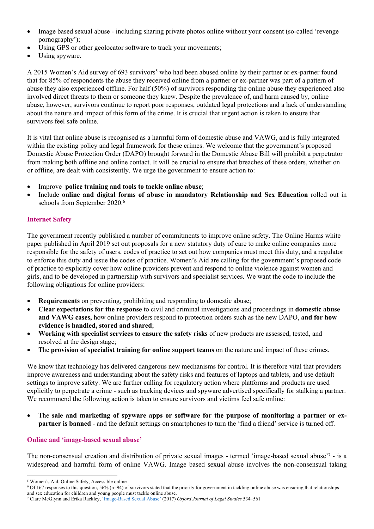- Image based sexual abuse including sharing private photos online without your consent (so-called 'revenge pornography');
- Using GPS or other geolocator software to track your movements;
- Using spyware.

A 2015 Women's Aid survey of 693 survivors<sup>5</sup> who had been abused online by their partner or ex-partner found that for 85% of respondents the abuse they received online from a partner or ex-partner was part of a pattern of abuse they also experienced offline. For half (50%) of survivors responding the online abuse they experienced also involved direct threats to them or someone they knew. Despite the prevalence of, and harm caused by, online abuse, however, survivors continue to report poor responses, outdated legal protections and a lack of understanding about the nature and impact of this form of the crime. It is crucial that urgent action is taken to ensure that survivors feel safe online.

It is vital that online abuse is recognised as a harmful form of domestic abuse and VAWG, and is fully integrated within the existing policy and legal framework for these crimes. We welcome that the government's proposed Domestic Abuse Protection Order (DAPO) brought forward in the Domestic Abuse Bill will prohibit a perpetrator from making both offline and online contact. It will be crucial to ensure that breaches of these orders, whether on or offline, are dealt with consistently. We urge the government to ensure action to:

- Improve **police training and tools to tackle online abuse**;
- Include **online and digital forms of abuse in mandatory Relationship and Sex Education** rolled out in schools from September 2020.<sup>6</sup>

## **Internet Safety**

The government recently published a number of commitments to improve online safety. The Online Harms white paper published in April 2019 set out proposals for a new statutory duty of care to make online companies more responsible for the safety of users, codes of practice to set out how companies must meet this duty, and a regulator to enforce this duty and issue the codes of practice. Women's Aid are calling for the government's proposed code of practice to explicitly cover how online providers prevent and respond to online violence against women and girls, and to be developed in partnership with survivors and specialist services. We want the code to include the following obligations for online providers:

- **Requirements** on preventing, prohibiting and responding to domestic abuse;
- **Clear expectations for the response** to civil and criminal investigations and proceedings in **domestic abuse and VAWG cases,** how online providers respond to protection orders such as the new DAPO, **and for how evidence is handled, stored and shared**;
- **Working with specialist services to ensure the safety risks** of new products are assessed, tested, and resolved at the design stage;
- The **provision of specialist training for online support teams** on the nature and impact of these crimes.

We know that technology has delivered dangerous new mechanisms for control. It is therefore vital that providers improve awareness and understanding about the safety risks and features of laptops and tablets, and use default settings to improve safety. We are further calling for regulatory action where platforms and products are used explicitly to perpetrate a crime - such as tracking devices and spyware advertised specifically for stalking a partner. We recommend the following action is taken to ensure survivors and victims feel safe online:

 The **sale and marketing of spyware apps or software for the purpose of monitoring a partner or expartner is banned** - and the default settings on smartphones to turn the 'find a friend' service is turned off.

## **Online and 'image-based sexual abuse'**

The non-consensual creation and distribution of private sexual images - termed 'image-based sexual abuse'<sup>7</sup> - is a widespread and harmful form of online VAWG. Image based sexual abuse involves the non-consensual taking

<sup>5</sup> Women's Aid, Online Safety, Accessible online.

<sup>6</sup> Of 167 responses to this question, 56% (n=94) of survivors stated that the priority for government in tackling online abuse was ensuring that relationships and sex education for children and young people must tackle online abuse.

<sup>7</sup> Clare McGlynn and Erika Rackley, 'Image-Based Sexual Abuse' (2017) *Oxford Journal of Legal Studies* 534–561